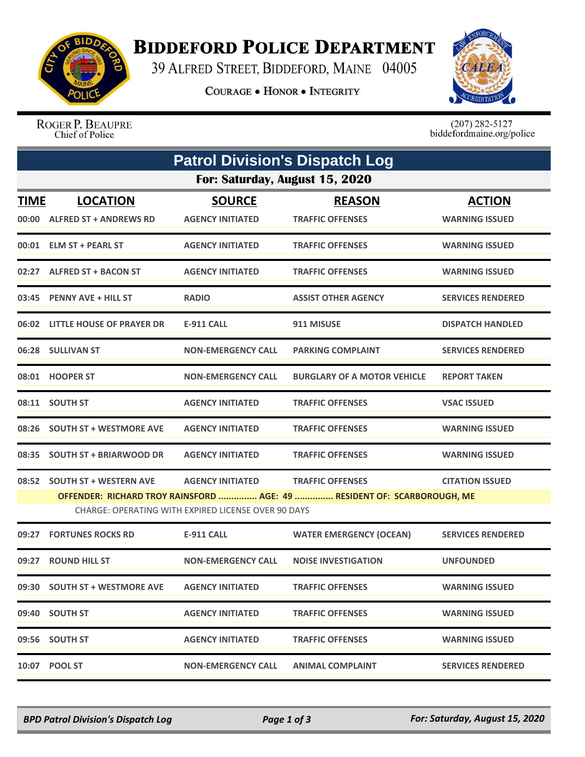

## **BIDDEFORD POLICE DEPARTMENT**

39 ALFRED STREET, BIDDEFORD, MAINE 04005

**COURAGE . HONOR . INTEGRITY** 



ROGER P. BEAUPRE Chief of Police

 $(207)$  282-5127<br>biddefordmaine.org/police

| <b>Patrol Division's Dispatch Log</b> |                                                  |                                                                                |                                                                                                    |                                        |  |  |  |
|---------------------------------------|--------------------------------------------------|--------------------------------------------------------------------------------|----------------------------------------------------------------------------------------------------|----------------------------------------|--|--|--|
| For: Saturday, August 15, 2020        |                                                  |                                                                                |                                                                                                    |                                        |  |  |  |
| <b>TIME</b><br>00:00                  | <b>LOCATION</b><br><b>ALFRED ST + ANDREWS RD</b> | <b>SOURCE</b><br><b>AGENCY INITIATED</b>                                       | <b>REASON</b><br><b>TRAFFIC OFFENSES</b>                                                           | <b>ACTION</b><br><b>WARNING ISSUED</b> |  |  |  |
|                                       | 00:01 ELM ST + PEARL ST                          | <b>AGENCY INITIATED</b>                                                        | <b>TRAFFIC OFFENSES</b>                                                                            | <b>WARNING ISSUED</b>                  |  |  |  |
|                                       | 02:27 ALFRED ST + BACON ST                       | <b>AGENCY INITIATED</b>                                                        | <b>TRAFFIC OFFENSES</b>                                                                            | <b>WARNING ISSUED</b>                  |  |  |  |
| 03:45                                 | <b>PENNY AVE + HILL ST</b>                       | <b>RADIO</b>                                                                   | <b>ASSIST OTHER AGENCY</b>                                                                         | <b>SERVICES RENDERED</b>               |  |  |  |
|                                       | 06:02 LITTLE HOUSE OF PRAYER DR                  | <b>E-911 CALL</b>                                                              | 911 MISUSE                                                                                         | <b>DISPATCH HANDLED</b>                |  |  |  |
|                                       | 06:28 SULLIVAN ST                                | <b>NON-EMERGENCY CALL</b>                                                      | <b>PARKING COMPLAINT</b>                                                                           | <b>SERVICES RENDERED</b>               |  |  |  |
|                                       | 08:01 HOOPER ST                                  | <b>NON-EMERGENCY CALL</b>                                                      | <b>BURGLARY OF A MOTOR VEHICLE</b>                                                                 | <b>REPORT TAKEN</b>                    |  |  |  |
| 08:11                                 | <b>SOUTH ST</b>                                  | <b>AGENCY INITIATED</b>                                                        | <b>TRAFFIC OFFENSES</b>                                                                            | <b>VSAC ISSUED</b>                     |  |  |  |
|                                       | 08:26 SOUTH ST + WESTMORE AVE                    | <b>AGENCY INITIATED</b>                                                        | <b>TRAFFIC OFFENSES</b>                                                                            | <b>WARNING ISSUED</b>                  |  |  |  |
| 08:35                                 | <b>SOUTH ST + BRIARWOOD DR</b>                   | <b>AGENCY INITIATED</b>                                                        | <b>TRAFFIC OFFENSES</b>                                                                            | <b>WARNING ISSUED</b>                  |  |  |  |
|                                       | 08:52 SOUTH ST + WESTERN AVE                     | <b>AGENCY INITIATED</b><br>CHARGE: OPERATING WITH EXPIRED LICENSE OVER 90 DAYS | <b>TRAFFIC OFFENSES</b><br>OFFENDER: RICHARD TROY RAINSFORD  AGE: 49  RESIDENT OF: SCARBOROUGH, ME | <b>CITATION ISSUED</b>                 |  |  |  |
| 09:27                                 | <b>FORTUNES ROCKS RD</b>                         | <b>E-911 CALL</b>                                                              | <b>WATER EMERGENCY (OCEAN)</b>                                                                     | <b>SERVICES RENDERED</b>               |  |  |  |
| 09:27                                 | <b>ROUND HILL ST</b>                             | <b>NON-EMERGENCY CALL</b>                                                      | <b>NOISE INVESTIGATION</b>                                                                         | <b>UNFOUNDED</b>                       |  |  |  |
|                                       | 09:30 SOUTH ST + WESTMORE AVE                    | <b>AGENCY INITIATED</b>                                                        | <b>TRAFFIC OFFENSES</b>                                                                            | <b>WARNING ISSUED</b>                  |  |  |  |
|                                       | 09:40 SOUTH ST                                   | <b>AGENCY INITIATED</b>                                                        | <b>TRAFFIC OFFENSES</b>                                                                            | <b>WARNING ISSUED</b>                  |  |  |  |
|                                       | 09:56 SOUTH ST                                   | <b>AGENCY INITIATED</b>                                                        | <b>TRAFFIC OFFENSES</b>                                                                            | <b>WARNING ISSUED</b>                  |  |  |  |
|                                       | 10:07 POOL ST                                    | <b>NON-EMERGENCY CALL</b>                                                      | <b>ANIMAL COMPLAINT</b>                                                                            | <b>SERVICES RENDERED</b>               |  |  |  |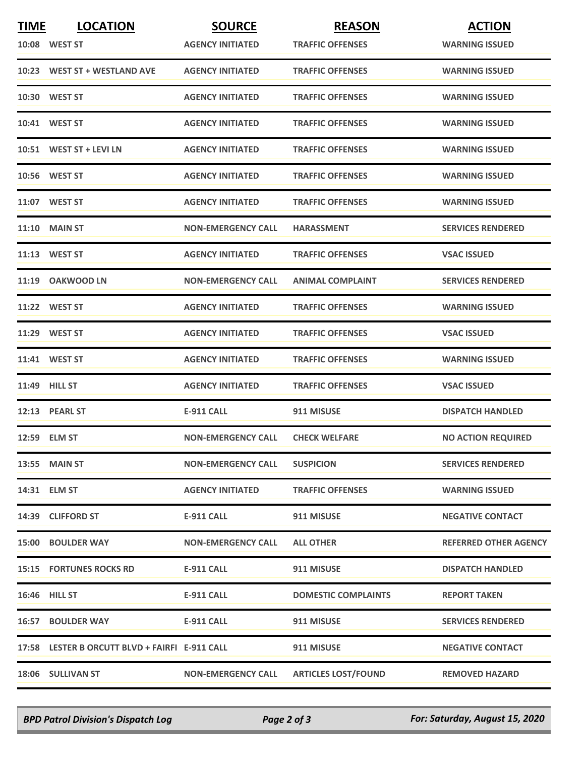| <b>TIME</b> | <b>LOCATION</b>                                | <b>SOURCE</b>             | <b>REASON</b>              | <b>ACTION</b>                |
|-------------|------------------------------------------------|---------------------------|----------------------------|------------------------------|
|             | 10:08 WEST ST                                  | <b>AGENCY INITIATED</b>   | <b>TRAFFIC OFFENSES</b>    | <b>WARNING ISSUED</b>        |
|             | 10:23 WEST ST + WESTLAND AVE                   | <b>AGENCY INITIATED</b>   | <b>TRAFFIC OFFENSES</b>    | <b>WARNING ISSUED</b>        |
|             | 10:30 WEST ST                                  | <b>AGENCY INITIATED</b>   | <b>TRAFFIC OFFENSES</b>    | <b>WARNING ISSUED</b>        |
|             | 10:41 WEST ST                                  | <b>AGENCY INITIATED</b>   | <b>TRAFFIC OFFENSES</b>    | <b>WARNING ISSUED</b>        |
|             | 10:51 WEST ST + LEVI LN                        | <b>AGENCY INITIATED</b>   | <b>TRAFFIC OFFENSES</b>    | <b>WARNING ISSUED</b>        |
|             | 10:56 WEST ST                                  | <b>AGENCY INITIATED</b>   | <b>TRAFFIC OFFENSES</b>    | <b>WARNING ISSUED</b>        |
|             | 11:07 WEST ST                                  | <b>AGENCY INITIATED</b>   | <b>TRAFFIC OFFENSES</b>    | <b>WARNING ISSUED</b>        |
|             | <b>11:10 MAIN ST</b>                           | <b>NON-EMERGENCY CALL</b> | <b>HARASSMENT</b>          | <b>SERVICES RENDERED</b>     |
|             | 11:13 WEST ST                                  | <b>AGENCY INITIATED</b>   | <b>TRAFFIC OFFENSES</b>    | <b>VSAC ISSUED</b>           |
|             | 11:19 OAKWOOD LN                               | <b>NON-EMERGENCY CALL</b> | <b>ANIMAL COMPLAINT</b>    | <b>SERVICES RENDERED</b>     |
|             | 11:22 WEST ST                                  | <b>AGENCY INITIATED</b>   | <b>TRAFFIC OFFENSES</b>    | <b>WARNING ISSUED</b>        |
|             | 11:29 WEST ST                                  | <b>AGENCY INITIATED</b>   | <b>TRAFFIC OFFENSES</b>    | <b>VSAC ISSUED</b>           |
|             | 11:41 WEST ST                                  | <b>AGENCY INITIATED</b>   | <b>TRAFFIC OFFENSES</b>    | <b>WARNING ISSUED</b>        |
|             | <b>11:49 HILL ST</b>                           | <b>AGENCY INITIATED</b>   | <b>TRAFFIC OFFENSES</b>    | <b>VSAC ISSUED</b>           |
|             | 12:13 PEARL ST                                 | <b>E-911 CALL</b>         | 911 MISUSE                 | <b>DISPATCH HANDLED</b>      |
|             | 12:59 ELM ST                                   | <b>NON-EMERGENCY CALL</b> | <b>CHECK WELFARE</b>       | <b>NO ACTION REQUIRED</b>    |
|             | <b>13:55 MAIN ST</b>                           | <b>NON-EMERGENCY CALL</b> | <b>SUSPICION</b>           | <b>SERVICES RENDERED</b>     |
|             | 14:31 ELM ST                                   | <b>AGENCY INITIATED</b>   | <b>TRAFFIC OFFENSES</b>    | <b>WARNING ISSUED</b>        |
|             | 14:39 CLIFFORD ST                              | E-911 CALL                | 911 MISUSE                 | <b>NEGATIVE CONTACT</b>      |
|             | <b>15:00 BOULDER WAY</b>                       | <b>NON-EMERGENCY CALL</b> | <b>ALL OTHER</b>           | <b>REFERRED OTHER AGENCY</b> |
|             | <b>15:15 FORTUNES ROCKS RD</b>                 | <b>E-911 CALL</b>         | 911 MISUSE                 | <b>DISPATCH HANDLED</b>      |
|             | <b>16:46 HILL ST</b>                           | <b>E-911 CALL</b>         | <b>DOMESTIC COMPLAINTS</b> | <b>REPORT TAKEN</b>          |
|             | <b>16:57 BOULDER WAY</b>                       | E-911 CALL                | 911 MISUSE                 | <b>SERVICES RENDERED</b>     |
|             | 17:58 LESTER B ORCUTT BLVD + FAIRFI E-911 CALL |                           | 911 MISUSE                 | <b>NEGATIVE CONTACT</b>      |
|             | 18:06 SULLIVAN ST                              | <b>NON-EMERGENCY CALL</b> | <b>ARTICLES LOST/FOUND</b> | <b>REMOVED HAZARD</b>        |

*BPD Patrol Division's Dispatch Log Page 2 of 3 For: Saturday, August 15, 2020*